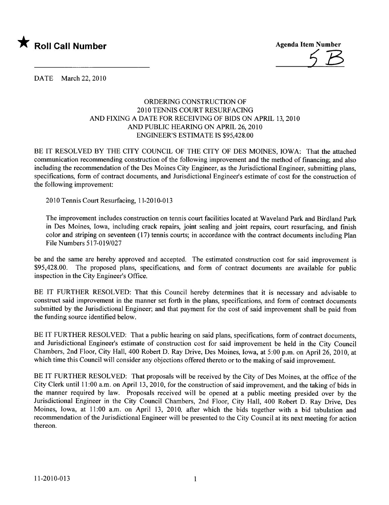

Agenda Item Number

DATE March 22, 2010

## ORDERING CONSTRUCTION OF 2010 TENNIS COURT RESURFACING AND FIXING A DATE FOR RECEIVING OF BIDS ON APRIL 13,2010 AND PUBLIC HEARING ON APRIL 26, 2010 ENGINEER'S ESTIMATE IS \$95,428.00

BE IT RESOLVED BY THE CITY COUNCIL OF THE CITY OF DES MOINES, IOWA: That the attached communication recommending construction of the following improvement and the method of financing; and also including the recommendation of the Des Moines City Engineer, as the Jurisdictional Engineer, submitting plans, specifications, form of contract documents, and Jurisdictional Engineer's estimate of cost for the construction of the following improvement:

2010 Tennis Court Resurfacing, 11-2010-013

The improvement includes construction on tennis court facilities located at Waveland Park and Birdland Park in Des Moines, Iowa, including crack repairs, joint sealing and joint repairs, court resurfacing, and finish color and striping on seventeen (17) tennis courts; in accordance with the contract documents including Plan File Numbers 517-019/027

be and the same are hereby approved and accepted. The estimated construction cost for said improvement is \$95,428.00. The proposed plans, specifications, and form of contract documents are available for public inspection in the City Engineer's Office.

BE IT FURTHER RESOLVED: That this Council hereby determines that it is necessary and advisable to construct said improvement in the manner set forth in the plans, specifications, and form of contract documents submitted by the Jurisdictional Engineer; and that payment for the cost of said improvement shall be paid from the funding source identified below.

BE IT FURTHER RESOLVED: That a public hearing on said plans, specifications, form of contract documents, and Jurisdictional Engineer's estimate of construction cost for said improvement be held in the City Council Chambers, 2nd Floor, City Hall, 400 Robert D. Ray Drive, Des Moines, Iowa, at 5:00 p.m. on April 26,2010, at which time this Council will consider any objections offered thereto or to the making of said improvement.

BE IT FURTHER RESOLVED: That proposals will be received by the City of Des Moines, at the office of the City Clerk until 11 :00 a.m. on April 13, 2010, for the construction of said improvement, and the taking of bids in the manner required by law. Proposals received will be opened at a public meeting presided over by the Jurisdictional Engineer in the City Council Chambers, 2nd Floor, City Hall, 400 Robert D. Ray Drive, Des Moines, Iowa, at 11:00 a.m. on April 13, 2010, after which the bids together with a bid tabulation and recommendation of the Jurisdictional Engineer will be presented to the City Council at its next meeting for action thereon.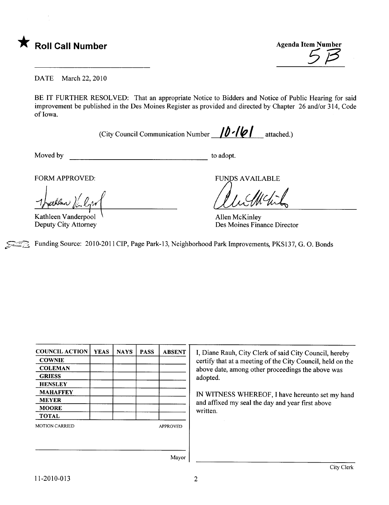

**\*** Roll Call Number Agenda Item Number Agenda Item Number

DATE March 22, 2010

BE IT FURTHER RESOLVED: That an appropriate Notice to Bidders and Notice of Public Hearing for said improvement be published in the Des Moines Register as provided and directed by Chapter 26 and/or 314, Code of Iowa.

(City Council Communication Number  $\int \int d^2 \cdot |\psi|$  attached.)

Moved by to adopt.

FORM APPROVED:

1 Juillen Vanderpool

Deputy City Attorney

**FUNDS AVAILABLE** 

Allen McKinley Des Moines Finance Director

Funding Source: 2010-2011 CIP, Page Park-13, Neighborhood Park Improvements, PKS137, G. O. Bonds

| <b>COUNCIL ACTION</b> | <b>YEAS</b> | <b>NAYS</b> | <b>PASS</b> | <b>ABSENT</b>   |
|-----------------------|-------------|-------------|-------------|-----------------|
| <b>COWNIE</b>         |             |             |             |                 |
| <b>COLEMAN</b>        |             |             |             |                 |
| <b>GRIESS</b>         |             |             |             |                 |
| <b>HENSLEY</b>        |             |             |             |                 |
| <b>MAHAFFEY</b>       |             |             |             |                 |
| <b>MEYER</b>          |             |             |             |                 |
| <b>MOORE</b>          |             |             |             |                 |
| <b>TOTAL</b>          |             |             |             |                 |
| <b>MOTION CARRIED</b> |             |             |             | <b>APPROVED</b> |
|                       |             |             |             |                 |
|                       |             |             |             |                 |
|                       |             |             |             |                 |

I, Diane Rauh, City Clerk of said City Council, hereby certify that at a meeting of the City Council, held on the above date, among other proceedings the above was adopted.

IN WITNESS WHEREOF, I have hereunto set my hand and affxed my seal the day and year first above written.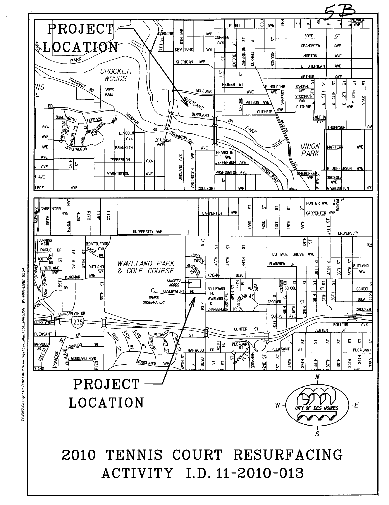

T1\ENO\Design\II\2010\013\Drawinqs\Loc\_Map\LOC\_MAP.DGN 09-MAR-2010 10:54